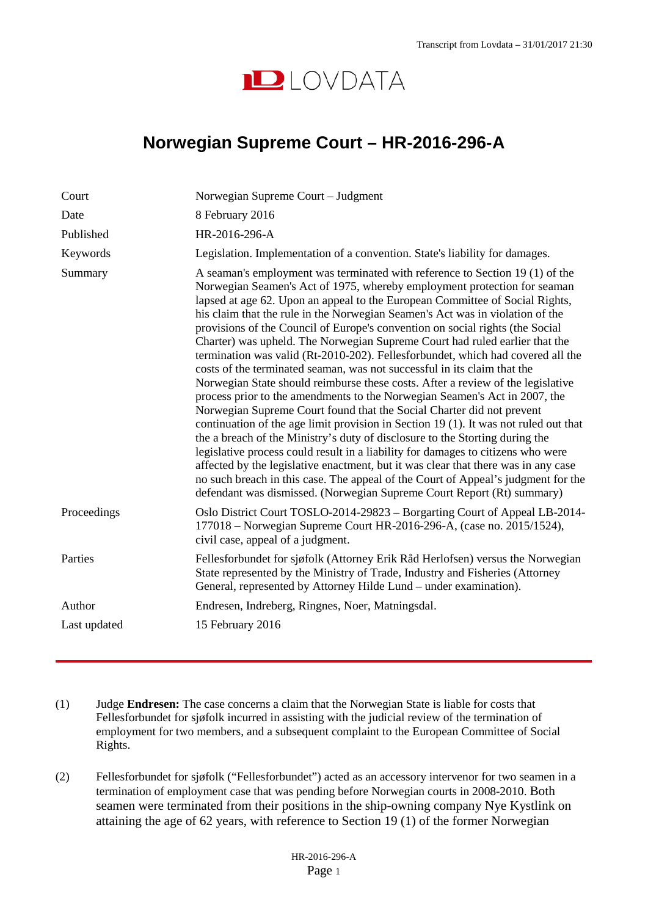

## **Norwegian Supreme Court – HR-2016-296-A**

| Court        | Norwegian Supreme Court - Judgment                                                                                                                                                                                                                                                                                                                                                                                                                                                                                                                                                                                                                                                                                                                                                                                                                                                                                                                                                                                                                                                                                                                                                                                                                                                                                                                                                                                  |
|--------------|---------------------------------------------------------------------------------------------------------------------------------------------------------------------------------------------------------------------------------------------------------------------------------------------------------------------------------------------------------------------------------------------------------------------------------------------------------------------------------------------------------------------------------------------------------------------------------------------------------------------------------------------------------------------------------------------------------------------------------------------------------------------------------------------------------------------------------------------------------------------------------------------------------------------------------------------------------------------------------------------------------------------------------------------------------------------------------------------------------------------------------------------------------------------------------------------------------------------------------------------------------------------------------------------------------------------------------------------------------------------------------------------------------------------|
| Date         | 8 February 2016                                                                                                                                                                                                                                                                                                                                                                                                                                                                                                                                                                                                                                                                                                                                                                                                                                                                                                                                                                                                                                                                                                                                                                                                                                                                                                                                                                                                     |
| Published    | HR-2016-296-A                                                                                                                                                                                                                                                                                                                                                                                                                                                                                                                                                                                                                                                                                                                                                                                                                                                                                                                                                                                                                                                                                                                                                                                                                                                                                                                                                                                                       |
| Keywords     | Legislation. Implementation of a convention. State's liability for damages.                                                                                                                                                                                                                                                                                                                                                                                                                                                                                                                                                                                                                                                                                                                                                                                                                                                                                                                                                                                                                                                                                                                                                                                                                                                                                                                                         |
| Summary      | A seaman's employment was terminated with reference to Section 19 (1) of the<br>Norwegian Seamen's Act of 1975, whereby employment protection for seaman<br>lapsed at age 62. Upon an appeal to the European Committee of Social Rights,<br>his claim that the rule in the Norwegian Seamen's Act was in violation of the<br>provisions of the Council of Europe's convention on social rights (the Social<br>Charter) was upheld. The Norwegian Supreme Court had ruled earlier that the<br>termination was valid (Rt-2010-202). Fellesforbundet, which had covered all the<br>costs of the terminated seaman, was not successful in its claim that the<br>Norwegian State should reimburse these costs. After a review of the legislative<br>process prior to the amendments to the Norwegian Seamen's Act in 2007, the<br>Norwegian Supreme Court found that the Social Charter did not prevent<br>continuation of the age limit provision in Section 19 (1). It was not ruled out that<br>the a breach of the Ministry's duty of disclosure to the Storting during the<br>legislative process could result in a liability for damages to citizens who were<br>affected by the legislative enactment, but it was clear that there was in any case<br>no such breach in this case. The appeal of the Court of Appeal's judgment for the<br>defendant was dismissed. (Norwegian Supreme Court Report (Rt) summary) |
| Proceedings  | Oslo District Court TOSLO-2014-29823 – Borgarting Court of Appeal LB-2014-<br>177018 – Norwegian Supreme Court HR-2016-296-A, (case no. 2015/1524),<br>civil case, appeal of a judgment.                                                                                                                                                                                                                                                                                                                                                                                                                                                                                                                                                                                                                                                                                                                                                                                                                                                                                                                                                                                                                                                                                                                                                                                                                            |
| Parties      | Fellesforbundet for sjøfolk (Attorney Erik Råd Herlofsen) versus the Norwegian<br>State represented by the Ministry of Trade, Industry and Fisheries (Attorney<br>General, represented by Attorney Hilde Lund - under examination).                                                                                                                                                                                                                                                                                                                                                                                                                                                                                                                                                                                                                                                                                                                                                                                                                                                                                                                                                                                                                                                                                                                                                                                 |
| Author       | Endresen, Indreberg, Ringnes, Noer, Matningsdal.                                                                                                                                                                                                                                                                                                                                                                                                                                                                                                                                                                                                                                                                                                                                                                                                                                                                                                                                                                                                                                                                                                                                                                                                                                                                                                                                                                    |
| Last updated | 15 February 2016                                                                                                                                                                                                                                                                                                                                                                                                                                                                                                                                                                                                                                                                                                                                                                                                                                                                                                                                                                                                                                                                                                                                                                                                                                                                                                                                                                                                    |

- (1) Judge **Endresen:** The case concerns a claim that the Norwegian State is liable for costs that Fellesforbundet for sjøfolk incurred in assisting with the judicial review of the termination of employment for two members, and a subsequent complaint to the European Committee of Social Rights.
- (2) Fellesforbundet for sjøfolk ("Fellesforbundet") acted as an accessory intervenor for two seamen in a termination of employment case that was pending before Norwegian courts in 2008-2010. Both seamen were terminated from their positions in the ship-owning company Nye Kystlink on attaining the age of 62 years, with reference to Section 19 (1) of the former Norwegian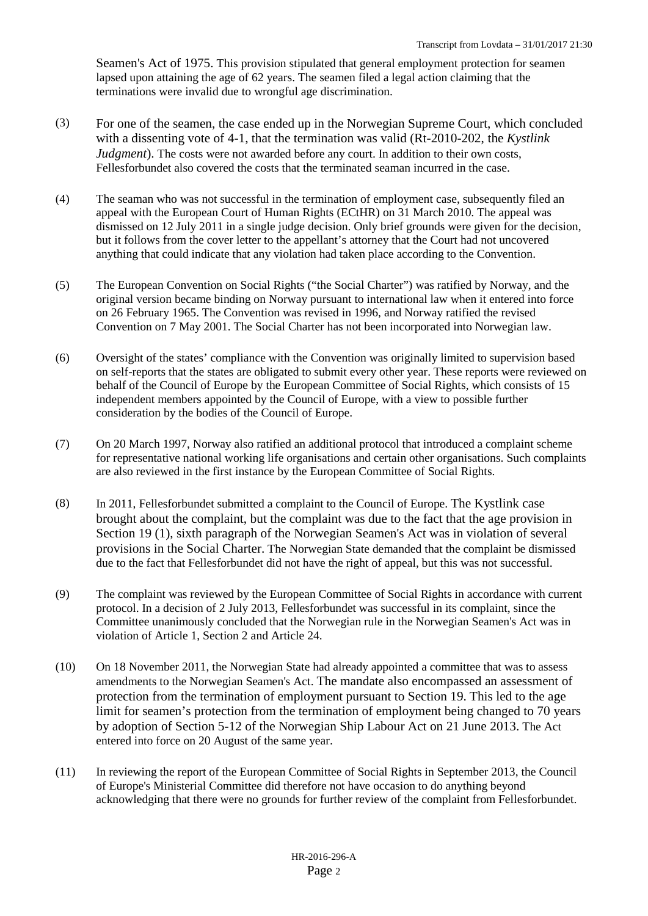Seamen's Act of 1975. This provision stipulated that general employment protection for seamen lapsed upon attaining the age of 62 years. The seamen filed a legal action claiming that the terminations were invalid due to wrongful age discrimination.

- (3) For one of the seamen, the case ended up in the Norwegian Supreme Court, which concluded with a dissenting vote of 4-1, that the termination was valid (Rt-2010-202, the *Kystlink Judgment*). The costs were not awarded before any court. In addition to their own costs, Fellesforbundet also covered the costs that the terminated seaman incurred in the case.
- (4) The seaman who was not successful in the termination of employment case, subsequently filed an appeal with the European Court of Human Rights (ECtHR) on 31 March 2010. The appeal was dismissed on 12 July 2011 in a single judge decision. Only brief grounds were given for the decision, but it follows from the cover letter to the appellant's attorney that the Court had not uncovered anything that could indicate that any violation had taken place according to the Convention.
- (5) The European Convention on Social Rights ("the Social Charter") was ratified by Norway, and the original version became binding on Norway pursuant to international law when it entered into force on 26 February 1965. The Convention was revised in 1996, and Norway ratified the revised Convention on 7 May 2001. The Social Charter has not been incorporated into Norwegian law.
- (6) Oversight of the states' compliance with the Convention was originally limited to supervision based on self-reports that the states are obligated to submit every other year. These reports were reviewed on behalf of the Council of Europe by the European Committee of Social Rights, which consists of 15 independent members appointed by the Council of Europe, with a view to possible further consideration by the bodies of the Council of Europe.
- (7) On 20 March 1997, Norway also ratified an additional protocol that introduced a complaint scheme for representative national working life organisations and certain other organisations. Such complaints are also reviewed in the first instance by the European Committee of Social Rights.
- (8) In 2011, Fellesforbundet submitted a complaint to the Council of Europe. The Kystlink case brought about the complaint, but the complaint was due to the fact that the age provision in Section 19 (1), sixth paragraph of the Norwegian Seamen's Act was in violation of several provisions in the Social Charter. The Norwegian State demanded that the complaint be dismissed due to the fact that Fellesforbundet did not have the right of appeal, but this was not successful.
- (9) The complaint was reviewed by the European Committee of Social Rights in accordance with current protocol. In a decision of 2 July 2013, Fellesforbundet was successful in its complaint, since the Committee unanimously concluded that the Norwegian rule in the Norwegian Seamen's Act was in violation of Article 1, Section 2 and Article 24.
- (10) On 18 November 2011, the Norwegian State had already appointed a committee that was to assess amendments to the Norwegian Seamen's Act. The mandate also encompassed an assessment of protection from the termination of employment pursuant to Section 19. This led to the age limit for seamen's protection from the termination of employment being changed to 70 years by adoption of Section 5-12 of the Norwegian Ship Labour Act on 21 June 2013. The Act entered into force on 20 August of the same year.
- (11) In reviewing the report of the European Committee of Social Rights in September 2013, the Council of Europe's Ministerial Committee did therefore not have occasion to do anything beyond acknowledging that there were no grounds for further review of the complaint from Fellesforbundet.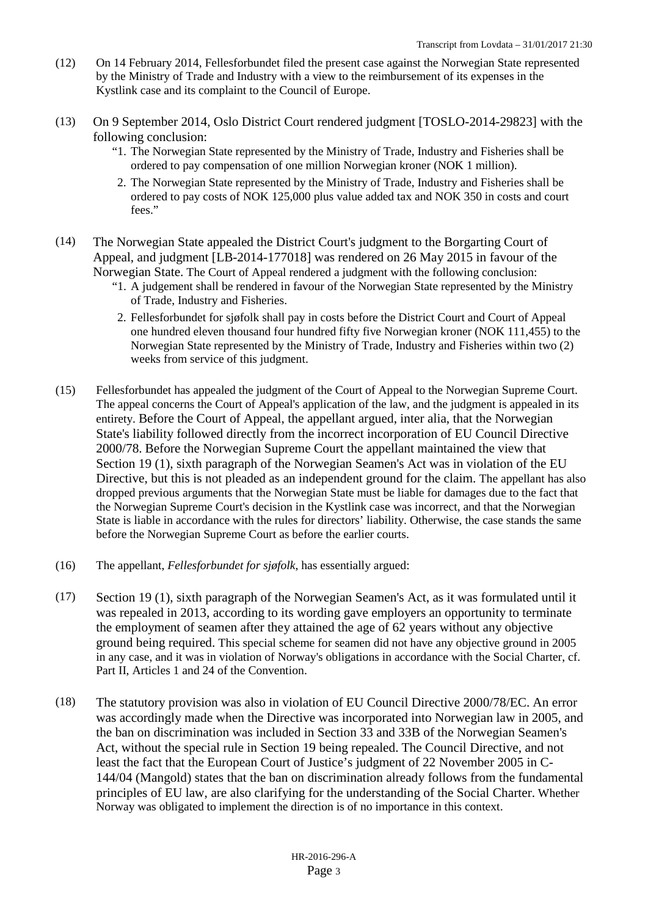- (12) On 14 February 2014, Fellesforbundet filed the present case against the Norwegian State represented by the Ministry of Trade and Industry with a view to the reimbursement of its expenses in the Kystlink case and its complaint to the Council of Europe.
- (13) On 9 September 2014, Oslo District Court rendered judgment [TOSLO-2014-29823] with the following conclusion:
	- "1. The Norwegian State represented by the Ministry of Trade, Industry and Fisheries shall be ordered to pay compensation of one million Norwegian kroner (NOK 1 million).
	- 2. The Norwegian State represented by the Ministry of Trade, Industry and Fisheries shall be ordered to pay costs of NOK 125,000 plus value added tax and NOK 350 in costs and court fees."
- (14) The Norwegian State appealed the District Court's judgment to the Borgarting Court of Appeal, and judgment [LB-2014-177018] was rendered on 26 May 2015 in favour of the Norwegian State. The Court of Appeal rendered a judgment with the following conclusion:
	- "1. A judgement shall be rendered in favour of the Norwegian State represented by the Ministry of Trade, Industry and Fisheries.
	- 2. Fellesforbundet for sjøfolk shall pay in costs before the District Court and Court of Appeal one hundred eleven thousand four hundred fifty five Norwegian kroner (NOK 111,455) to the Norwegian State represented by the Ministry of Trade, Industry and Fisheries within two (2) weeks from service of this judgment.
- (15) Fellesforbundet has appealed the judgment of the Court of Appeal to the Norwegian Supreme Court. The appeal concerns the Court of Appeal's application of the law, and the judgment is appealed in its entirety. Before the Court of Appeal, the appellant argued, inter alia, that the Norwegian State's liability followed directly from the incorrect incorporation of EU Council Directive 2000/78. Before the Norwegian Supreme Court the appellant maintained the view that Section 19 (1), sixth paragraph of the Norwegian Seamen's Act was in violation of the EU Directive, but this is not pleaded as an independent ground for the claim. The appellant has also dropped previous arguments that the Norwegian State must be liable for damages due to the fact that the Norwegian Supreme Court's decision in the Kystlink case was incorrect, and that the Norwegian State is liable in accordance with the rules for directors' liability. Otherwise, the case stands the same before the Norwegian Supreme Court as before the earlier courts.
- (16) The appellant, *Fellesforbundet for sjøfolk*, has essentially argued:
- (17) Section 19 (1), sixth paragraph of the Norwegian Seamen's Act, as it was formulated until it was repealed in 2013, according to its wording gave employers an opportunity to terminate the employment of seamen after they attained the age of 62 years without any objective ground being required. This special scheme for seamen did not have any objective ground in 2005 in any case, and it was in violation of Norway's obligations in accordance with the Social Charter, cf. Part II, Articles 1 and 24 of the Convention.
- (18) The statutory provision was also in violation of EU Council Directive 2000/78/EC. An error was accordingly made when the Directive was incorporated into Norwegian law in 2005, and the ban on discrimination was included in Section 33 and 33B of the Norwegian Seamen's Act, without the special rule in Section 19 being repealed. The Council Directive, and not least the fact that the European Court of Justice's judgment of 22 November 2005 in C-144/04 (Mangold) states that the ban on discrimination already follows from the fundamental principles of EU law, are also clarifying for the understanding of the Social Charter. Whether Norway was obligated to implement the direction is of no importance in this context.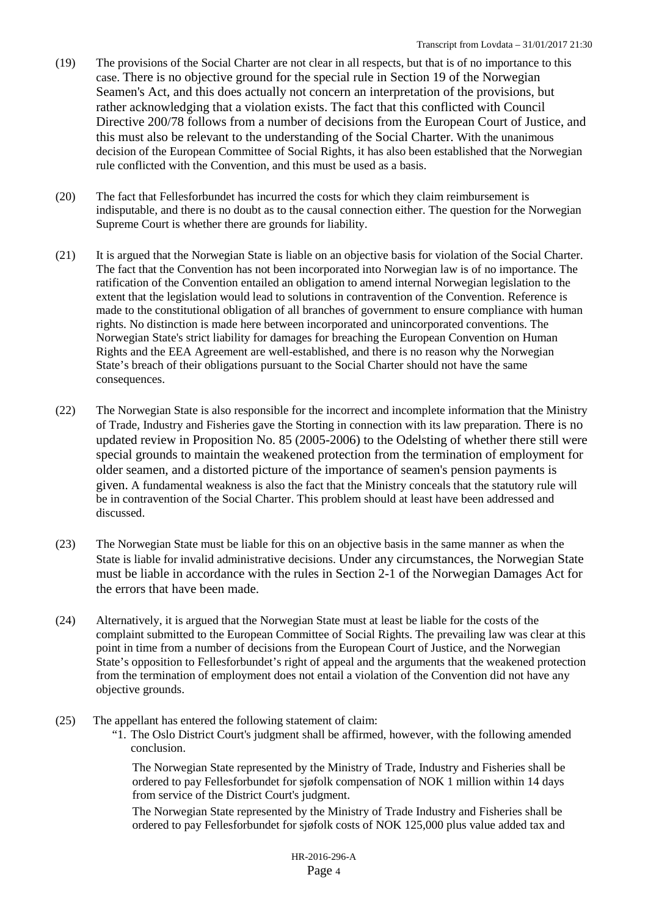- (19) The provisions of the Social Charter are not clear in all respects, but that is of no importance to this case. There is no objective ground for the special rule in Section 19 of the Norwegian Seamen's Act, and this does actually not concern an interpretation of the provisions, but rather acknowledging that a violation exists. The fact that this conflicted with Council Directive 200/78 follows from a number of decisions from the European Court of Justice, and this must also be relevant to the understanding of the Social Charter. With the unanimous decision of the European Committee of Social Rights, it has also been established that the Norwegian rule conflicted with the Convention, and this must be used as a basis.
- (20) The fact that Fellesforbundet has incurred the costs for which they claim reimbursement is indisputable, and there is no doubt as to the causal connection either. The question for the Norwegian Supreme Court is whether there are grounds for liability.
- (21) It is argued that the Norwegian State is liable on an objective basis for violation of the Social Charter. The fact that the Convention has not been incorporated into Norwegian law is of no importance. The ratification of the Convention entailed an obligation to amend internal Norwegian legislation to the extent that the legislation would lead to solutions in contravention of the Convention. Reference is made to the constitutional obligation of all branches of government to ensure compliance with human rights. No distinction is made here between incorporated and unincorporated conventions. The Norwegian State's strict liability for damages for breaching the European Convention on Human Rights and the EEA Agreement are well-established, and there is no reason why the Norwegian State's breach of their obligations pursuant to the Social Charter should not have the same consequences.
- (22) The Norwegian State is also responsible for the incorrect and incomplete information that the Ministry of Trade, Industry and Fisheries gave the Storting in connection with its law preparation. There is no updated review in Proposition No. 85 (2005-2006) to the Odelsting of whether there still were special grounds to maintain the weakened protection from the termination of employment for older seamen, and a distorted picture of the importance of seamen's pension payments is given. A fundamental weakness is also the fact that the Ministry conceals that the statutory rule will be in contravention of the Social Charter. This problem should at least have been addressed and discussed.
- (23) The Norwegian State must be liable for this on an objective basis in the same manner as when the State is liable for invalid administrative decisions. Under any circumstances, the Norwegian State must be liable in accordance with the rules in Section 2-1 of the Norwegian Damages Act for the errors that have been made.
- (24) Alternatively, it is argued that the Norwegian State must at least be liable for the costs of the complaint submitted to the European Committee of Social Rights. The prevailing law was clear at this point in time from a number of decisions from the European Court of Justice, and the Norwegian State's opposition to Fellesforbundet's right of appeal and the arguments that the weakened protection from the termination of employment does not entail a violation of the Convention did not have any objective grounds.
- (25) The appellant has entered the following statement of claim:
	- "1. The Oslo District Court's judgment shall be affirmed, however, with the following amended conclusion.

The Norwegian State represented by the Ministry of Trade, Industry and Fisheries shall be ordered to pay Fellesforbundet for sjøfolk compensation of NOK 1 million within 14 days from service of the District Court's judgment.

The Norwegian State represented by the Ministry of Trade Industry and Fisheries shall be ordered to pay Fellesforbundet for sjøfolk costs of NOK 125,000 plus value added tax and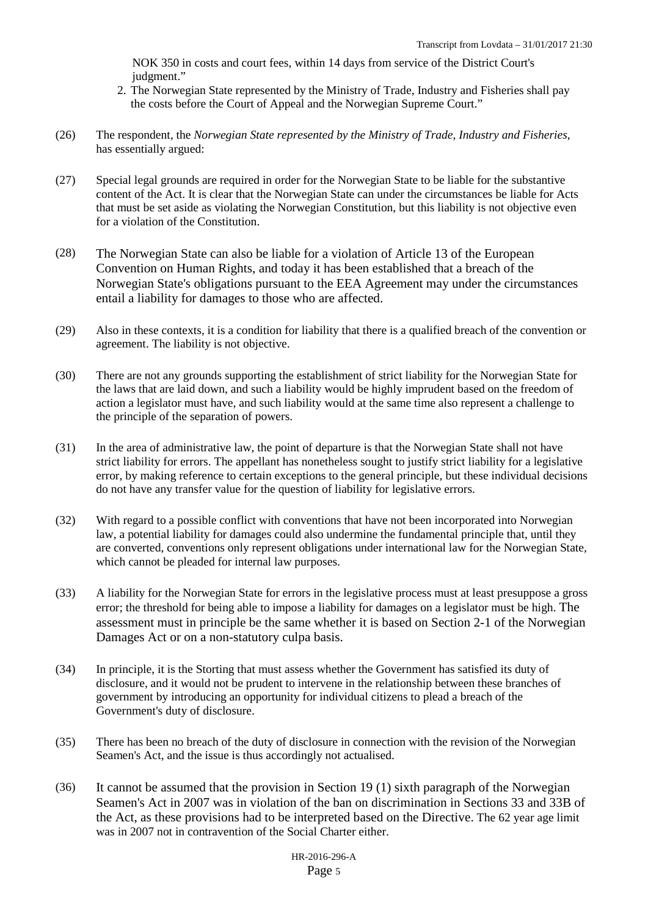NOK 350 in costs and court fees, within 14 days from service of the District Court's judgment."

- 2. The Norwegian State represented by the Ministry of Trade, Industry and Fisheries shall pay the costs before the Court of Appeal and the Norwegian Supreme Court."
- (26) The respondent, the *Norwegian State represented by the Ministry of Trade, Industry and Fisheries*, has essentially argued:
- (27) Special legal grounds are required in order for the Norwegian State to be liable for the substantive content of the Act. It is clear that the Norwegian State can under the circumstances be liable for Acts that must be set aside as violating the Norwegian Constitution, but this liability is not objective even for a violation of the Constitution.
- (28) The Norwegian State can also be liable for a violation of Article 13 of the European Convention on Human Rights, and today it has been established that a breach of the Norwegian State's obligations pursuant to the EEA Agreement may under the circumstances entail a liability for damages to those who are affected.
- (29) Also in these contexts, it is a condition for liability that there is a qualified breach of the convention or agreement. The liability is not objective.
- (30) There are not any grounds supporting the establishment of strict liability for the Norwegian State for the laws that are laid down, and such a liability would be highly imprudent based on the freedom of action a legislator must have, and such liability would at the same time also represent a challenge to the principle of the separation of powers.
- (31) In the area of administrative law, the point of departure is that the Norwegian State shall not have strict liability for errors. The appellant has nonetheless sought to justify strict liability for a legislative error, by making reference to certain exceptions to the general principle, but these individual decisions do not have any transfer value for the question of liability for legislative errors.
- (32) With regard to a possible conflict with conventions that have not been incorporated into Norwegian law, a potential liability for damages could also undermine the fundamental principle that, until they are converted, conventions only represent obligations under international law for the Norwegian State, which cannot be pleaded for internal law purposes.
- (33) A liability for the Norwegian State for errors in the legislative process must at least presuppose a gross error; the threshold for being able to impose a liability for damages on a legislator must be high. The assessment must in principle be the same whether it is based on Section 2-1 of the Norwegian Damages Act or on a non-statutory culpa basis.
- (34) In principle, it is the Storting that must assess whether the Government has satisfied its duty of disclosure, and it would not be prudent to intervene in the relationship between these branches of government by introducing an opportunity for individual citizens to plead a breach of the Government's duty of disclosure.
- (35) There has been no breach of the duty of disclosure in connection with the revision of the Norwegian Seamen's Act, and the issue is thus accordingly not actualised.
- (36) It cannot be assumed that the provision in Section 19 (1) sixth paragraph of the Norwegian Seamen's Act in 2007 was in violation of the ban on discrimination in Sections 33 and 33B of the Act, as these provisions had to be interpreted based on the Directive. The 62 year age limit was in 2007 not in contravention of the Social Charter either.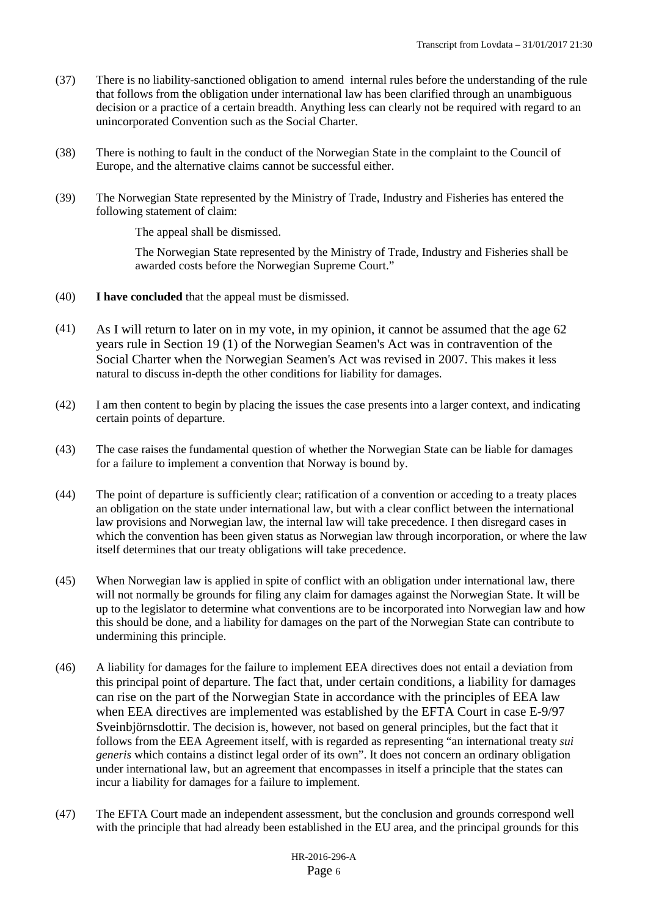- (37) There is no liability-sanctioned obligation to amend internal rules before the understanding of the rule that follows from the obligation under international law has been clarified through an unambiguous decision or a practice of a certain breadth. Anything less can clearly not be required with regard to an unincorporated Convention such as the Social Charter.
- (38) There is nothing to fault in the conduct of the Norwegian State in the complaint to the Council of Europe, and the alternative claims cannot be successful either.
- (39) The Norwegian State represented by the Ministry of Trade, Industry and Fisheries has entered the following statement of claim:

The appeal shall be dismissed.

The Norwegian State represented by the Ministry of Trade, Industry and Fisheries shall be awarded costs before the Norwegian Supreme Court."

- (40) **I have concluded** that the appeal must be dismissed.
- (41) As I will return to later on in my vote, in my opinion, it cannot be assumed that the age 62 years rule in Section 19 (1) of the Norwegian Seamen's Act was in contravention of the Social Charter when the Norwegian Seamen's Act was revised in 2007. This makes it less natural to discuss in-depth the other conditions for liability for damages.
- (42) I am then content to begin by placing the issues the case presents into a larger context, and indicating certain points of departure.
- (43) The case raises the fundamental question of whether the Norwegian State can be liable for damages for a failure to implement a convention that Norway is bound by.
- (44) The point of departure is sufficiently clear; ratification of a convention or acceding to a treaty places an obligation on the state under international law, but with a clear conflict between the international law provisions and Norwegian law, the internal law will take precedence. I then disregard cases in which the convention has been given status as Norwegian law through incorporation, or where the law itself determines that our treaty obligations will take precedence.
- (45) When Norwegian law is applied in spite of conflict with an obligation under international law, there will not normally be grounds for filing any claim for damages against the Norwegian State. It will be up to the legislator to determine what conventions are to be incorporated into Norwegian law and how this should be done, and a liability for damages on the part of the Norwegian State can contribute to undermining this principle.
- (46) A liability for damages for the failure to implement EEA directives does not entail a deviation from this principal point of departure. The fact that, under certain conditions, a liability for damages can rise on the part of the Norwegian State in accordance with the principles of EEA law when EEA directives are implemented was established by the EFTA Court in case E-9/97 Sveinbjörnsdottir. The decision is, however, not based on general principles, but the fact that it follows from the EEA Agreement itself, with is regarded as representing "an international treaty *sui generis* which contains a distinct legal order of its own". It does not concern an ordinary obligation under international law, but an agreement that encompasses in itself a principle that the states can incur a liability for damages for a failure to implement.
- (47) The EFTA Court made an independent assessment, but the conclusion and grounds correspond well with the principle that had already been established in the EU area, and the principal grounds for this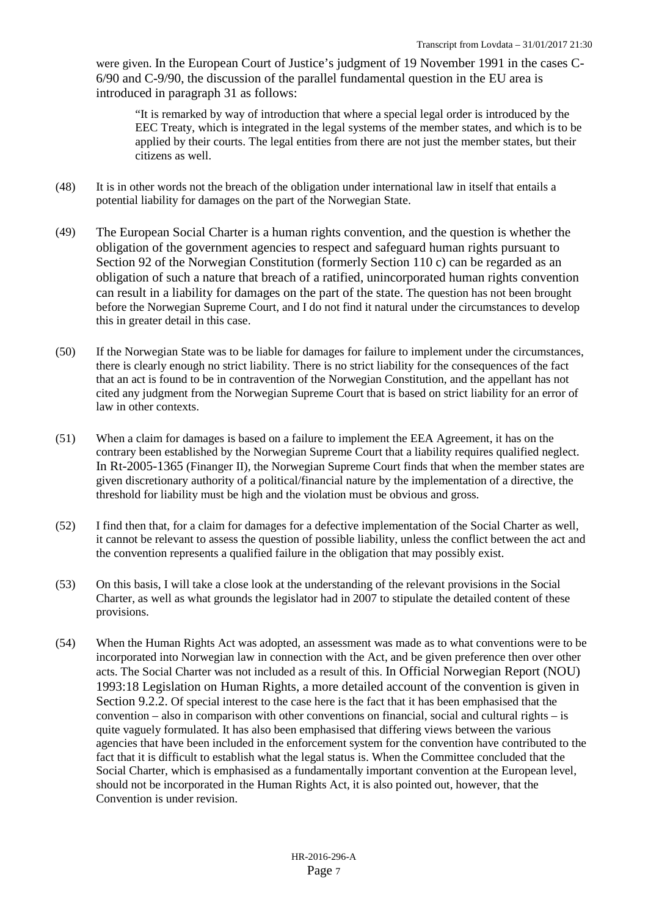were given. In the European Court of Justice's judgment of 19 November 1991 in the cases C-6/90 and C-9/90, the discussion of the parallel fundamental question in the EU area is introduced in paragraph 31 as follows:

"It is remarked by way of introduction that where a special legal order is introduced by the EEC Treaty, which is integrated in the legal systems of the member states, and which is to be applied by their courts. The legal entities from there are not just the member states, but their citizens as well.

- (48) It is in other words not the breach of the obligation under international law in itself that entails a potential liability for damages on the part of the Norwegian State.
- (49) The European Social Charter is a human rights convention, and the question is whether the obligation of the government agencies to respect and safeguard human rights pursuant to Section 92 of the Norwegian Constitution (formerly Section 110 c) can be regarded as an obligation of such a nature that breach of a ratified, unincorporated human rights convention can result in a liability for damages on the part of the state. The question has not been brought before the Norwegian Supreme Court, and I do not find it natural under the circumstances to develop this in greater detail in this case.
- (50) If the Norwegian State was to be liable for damages for failure to implement under the circumstances, there is clearly enough no strict liability. There is no strict liability for the consequences of the fact that an act is found to be in contravention of the Norwegian Constitution, and the appellant has not cited any judgment from the Norwegian Supreme Court that is based on strict liability for an error of law in other contexts.
- (51) When a claim for damages is based on a failure to implement the EEA Agreement, it has on the contrary been established by the Norwegian Supreme Court that a liability requires qualified neglect. In Rt-2005-1365 (Finanger II), the Norwegian Supreme Court finds that when the member states are given discretionary authority of a political/financial nature by the implementation of a directive, the threshold for liability must be high and the violation must be obvious and gross.
- (52) I find then that, for a claim for damages for a defective implementation of the Social Charter as well, it cannot be relevant to assess the question of possible liability, unless the conflict between the act and the convention represents a qualified failure in the obligation that may possibly exist.
- (53) On this basis, I will take a close look at the understanding of the relevant provisions in the Social Charter, as well as what grounds the legislator had in 2007 to stipulate the detailed content of these provisions.
- (54) When the Human Rights Act was adopted, an assessment was made as to what conventions were to be incorporated into Norwegian law in connection with the Act, and be given preference then over other acts. The Social Charter was not included as a result of this. In Official Norwegian Report (NOU) 1993:18 Legislation on Human Rights, a more detailed account of the convention is given in Section 9.2.2. Of special interest to the case here is the fact that it has been emphasised that the convention – also in comparison with other conventions on financial, social and cultural rights – is quite vaguely formulated. It has also been emphasised that differing views between the various agencies that have been included in the enforcement system for the convention have contributed to the fact that it is difficult to establish what the legal status is. When the Committee concluded that the Social Charter, which is emphasised as a fundamentally important convention at the European level, should not be incorporated in the Human Rights Act, it is also pointed out, however, that the Convention is under revision.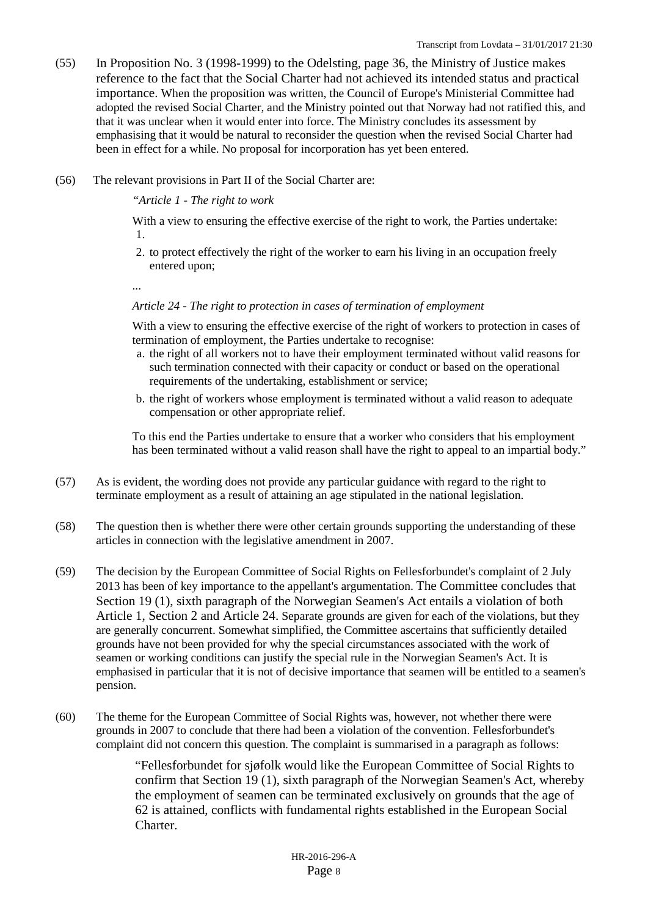- (55) In Proposition No. 3 (1998-1999) to the Odelsting, page 36, the Ministry of Justice makes reference to the fact that the Social Charter had not achieved its intended status and practical importance. When the proposition was written, the Council of Europe's Ministerial Committee had adopted the revised Social Charter, and the Ministry pointed out that Norway had not ratified this, and that it was unclear when it would enter into force. The Ministry concludes its assessment by emphasising that it would be natural to reconsider the question when the revised Social Charter had been in effect for a while. No proposal for incorporation has yet been entered.
- (56) The relevant provisions in Part II of the Social Charter are:

*"Article 1 - The right to work*

With a view to ensuring the effective exercise of the right to work, the Parties undertake: 1.

2. to protect effectively the right of the worker to earn his living in an occupation freely entered upon;

...

## *Article 24 - The right to protection in cases of termination of employment*

With a view to ensuring the effective exercise of the right of workers to protection in cases of termination of employment, the Parties undertake to recognise:

- a. the right of all workers not to have their employment terminated without valid reasons for such termination connected with their capacity or conduct or based on the operational requirements of the undertaking, establishment or service;
- b. the right of workers whose employment is terminated without a valid reason to adequate compensation or other appropriate relief.

To this end the Parties undertake to ensure that a worker who considers that his employment has been terminated without a valid reason shall have the right to appeal to an impartial body."

- (57) As is evident, the wording does not provide any particular guidance with regard to the right to terminate employment as a result of attaining an age stipulated in the national legislation.
- (58) The question then is whether there were other certain grounds supporting the understanding of these articles in connection with the legislative amendment in 2007.
- (59) The decision by the European Committee of Social Rights on Fellesforbundet's complaint of 2 July 2013 has been of key importance to the appellant's argumentation. The Committee concludes that Section 19 (1), sixth paragraph of the Norwegian Seamen's Act entails a violation of both Article 1, Section 2 and Article 24. Separate grounds are given for each of the violations, but they are generally concurrent. Somewhat simplified, the Committee ascertains that sufficiently detailed grounds have not been provided for why the special circumstances associated with the work of seamen or working conditions can justify the special rule in the Norwegian Seamen's Act. It is emphasised in particular that it is not of decisive importance that seamen will be entitled to a seamen's pension.
- (60) The theme for the European Committee of Social Rights was, however, not whether there were grounds in 2007 to conclude that there had been a violation of the convention. Fellesforbundet's complaint did not concern this question. The complaint is summarised in a paragraph as follows:

"Fellesforbundet for sjøfolk would like the European Committee of Social Rights to confirm that Section 19 (1), sixth paragraph of the Norwegian Seamen's Act, whereby the employment of seamen can be terminated exclusively on grounds that the age of 62 is attained, conflicts with fundamental rights established in the European Social Charter.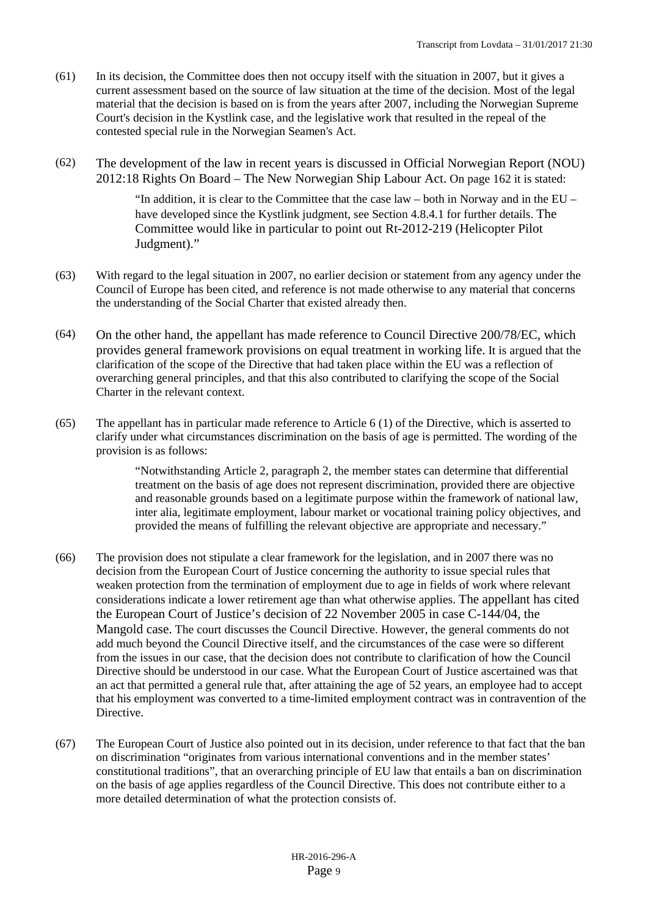- (61) In its decision, the Committee does then not occupy itself with the situation in 2007, but it gives a current assessment based on the source of law situation at the time of the decision. Most of the legal material that the decision is based on is from the years after 2007, including the Norwegian Supreme Court's decision in the Kystlink case, and the legislative work that resulted in the repeal of the contested special rule in the Norwegian Seamen's Act.
- (62) The development of the law in recent years is discussed in Official Norwegian Report (NOU) 2012:18 Rights On Board – The New Norwegian Ship Labour Act. On page 162 it is stated:

"In addition, it is clear to the Committee that the case law – both in Norway and in the EU – have developed since the Kystlink judgment, see Section 4.8.4.1 for further details. The Committee would like in particular to point out Rt-2012-219 (Helicopter Pilot Judgment)."

- (63) With regard to the legal situation in 2007, no earlier decision or statement from any agency under the Council of Europe has been cited, and reference is not made otherwise to any material that concerns the understanding of the Social Charter that existed already then.
- (64) On the other hand, the appellant has made reference to Council Directive 200/78/EC, which provides general framework provisions on equal treatment in working life. It is argued that the clarification of the scope of the Directive that had taken place within the EU was a reflection of overarching general principles, and that this also contributed to clarifying the scope of the Social Charter in the relevant context.
- (65) The appellant has in particular made reference to Article 6 (1) of the Directive, which is asserted to clarify under what circumstances discrimination on the basis of age is permitted. The wording of the provision is as follows:

"Notwithstanding Article 2, paragraph 2, the member states can determine that differential treatment on the basis of age does not represent discrimination, provided there are objective and reasonable grounds based on a legitimate purpose within the framework of national law, inter alia, legitimate employment, labour market or vocational training policy objectives, and provided the means of fulfilling the relevant objective are appropriate and necessary."

- (66) The provision does not stipulate a clear framework for the legislation, and in 2007 there was no decision from the European Court of Justice concerning the authority to issue special rules that weaken protection from the termination of employment due to age in fields of work where relevant considerations indicate a lower retirement age than what otherwise applies. The appellant has cited the European Court of Justice's decision of 22 November 2005 in case C-144/04, the Mangold case. The court discusses the Council Directive. However, the general comments do not add much beyond the Council Directive itself, and the circumstances of the case were so different from the issues in our case, that the decision does not contribute to clarification of how the Council Directive should be understood in our case. What the European Court of Justice ascertained was that an act that permitted a general rule that, after attaining the age of 52 years, an employee had to accept that his employment was converted to a time-limited employment contract was in contravention of the Directive.
- (67) The European Court of Justice also pointed out in its decision, under reference to that fact that the ban on discrimination "originates from various international conventions and in the member states' constitutional traditions", that an overarching principle of EU law that entails a ban on discrimination on the basis of age applies regardless of the Council Directive. This does not contribute either to a more detailed determination of what the protection consists of.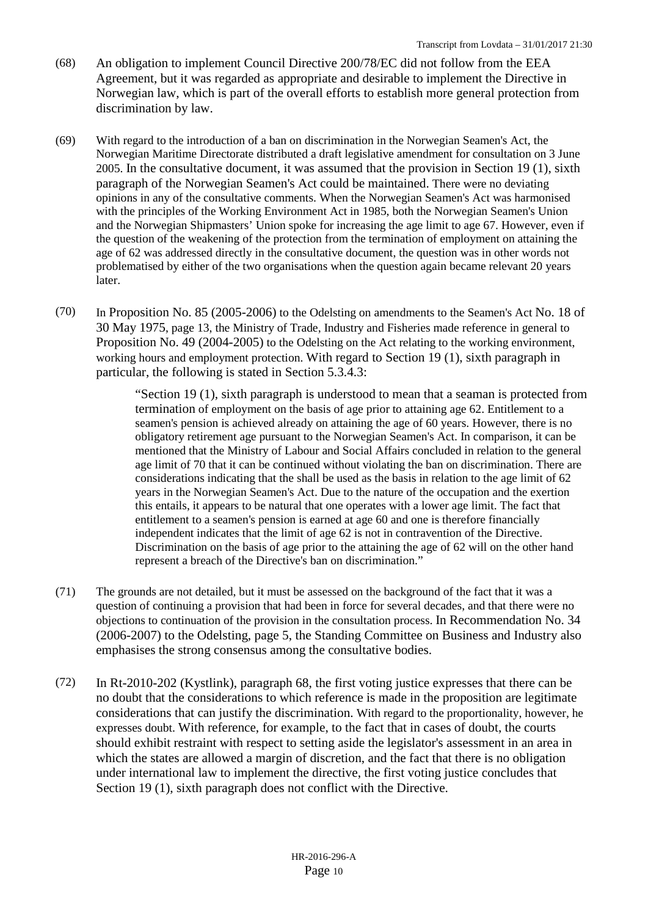- (68) An obligation to implement Council Directive 200/78/EC did not follow from the EEA Agreement, but it was regarded as appropriate and desirable to implement the Directive in Norwegian law, which is part of the overall efforts to establish more general protection from discrimination by law.
- (69) With regard to the introduction of a ban on discrimination in the Norwegian Seamen's Act, the Norwegian Maritime Directorate distributed a draft legislative amendment for consultation on 3 June 2005. In the consultative document, it was assumed that the provision in Section 19 (1), sixth paragraph of the Norwegian Seamen's Act could be maintained. There were no deviating opinions in any of the consultative comments. When the Norwegian Seamen's Act was harmonised with the principles of the Working Environment Act in 1985, both the Norwegian Seamen's Union and the Norwegian Shipmasters' Union spoke for increasing the age limit to age 67. However, even if the question of the weakening of the protection from the termination of employment on attaining the age of 62 was addressed directly in the consultative document, the question was in other words not problematised by either of the two organisations when the question again became relevant 20 years later.
- (70) In Proposition No. 85 (2005-2006) to the Odelsting on amendments to the Seamen's Act No. 18 of 30 May 1975, page 13, the Ministry of Trade, Industry and Fisheries made reference in general to Proposition No. 49 (2004-2005) to the Odelsting on the Act relating to the working environment, working hours and employment protection. With regard to Section 19 (1), sixth paragraph in particular, the following is stated in Section 5.3.4.3:

"Section 19 (1), sixth paragraph is understood to mean that a seaman is protected from termination of employment on the basis of age prior to attaining age 62. Entitlement to a seamen's pension is achieved already on attaining the age of 60 years. However, there is no obligatory retirement age pursuant to the Norwegian Seamen's Act. In comparison, it can be mentioned that the Ministry of Labour and Social Affairs concluded in relation to the general age limit of 70 that it can be continued without violating the ban on discrimination. There are considerations indicating that the shall be used as the basis in relation to the age limit of 62 years in the Norwegian Seamen's Act. Due to the nature of the occupation and the exertion this entails, it appears to be natural that one operates with a lower age limit. The fact that entitlement to a seamen's pension is earned at age 60 and one is therefore financially independent indicates that the limit of age 62 is not in contravention of the Directive. Discrimination on the basis of age prior to the attaining the age of 62 will on the other hand represent a breach of the Directive's ban on discrimination."

- (71) The grounds are not detailed, but it must be assessed on the background of the fact that it was a question of continuing a provision that had been in force for several decades, and that there were no objections to continuation of the provision in the consultation process. In Recommendation No. 34 (2006-2007) to the Odelsting, page 5, the Standing Committee on Business and Industry also emphasises the strong consensus among the consultative bodies.
- (72) In Rt-2010-202 (Kystlink), paragraph 68, the first voting justice expresses that there can be no doubt that the considerations to which reference is made in the proposition are legitimate considerations that can justify the discrimination. With regard to the proportionality, however, he expresses doubt. With reference, for example, to the fact that in cases of doubt, the courts should exhibit restraint with respect to setting aside the legislator's assessment in an area in which the states are allowed a margin of discretion, and the fact that there is no obligation under international law to implement the directive, the first voting justice concludes that Section 19 (1), sixth paragraph does not conflict with the Directive.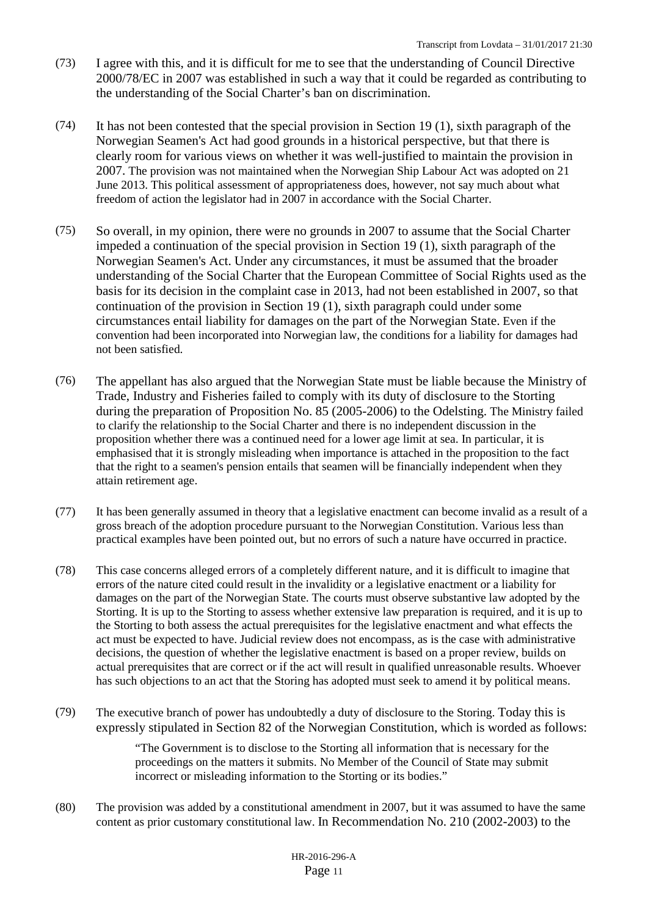- (73) I agree with this, and it is difficult for me to see that the understanding of Council Directive 2000/78/EC in 2007 was established in such a way that it could be regarded as contributing to the understanding of the Social Charter's ban on discrimination.
- (74) It has not been contested that the special provision in Section 19 (1), sixth paragraph of the Norwegian Seamen's Act had good grounds in a historical perspective, but that there is clearly room for various views on whether it was well-justified to maintain the provision in 2007. The provision was not maintained when the Norwegian Ship Labour Act was adopted on 21 June 2013. This political assessment of appropriateness does, however, not say much about what freedom of action the legislator had in 2007 in accordance with the Social Charter.
- (75) So overall, in my opinion, there were no grounds in 2007 to assume that the Social Charter impeded a continuation of the special provision in Section 19 (1), sixth paragraph of the Norwegian Seamen's Act. Under any circumstances, it must be assumed that the broader understanding of the Social Charter that the European Committee of Social Rights used as the basis for its decision in the complaint case in 2013, had not been established in 2007, so that continuation of the provision in Section 19 (1), sixth paragraph could under some circumstances entail liability for damages on the part of the Norwegian State. Even if the convention had been incorporated into Norwegian law, the conditions for a liability for damages had not been satisfied.
- (76) The appellant has also argued that the Norwegian State must be liable because the Ministry of Trade, Industry and Fisheries failed to comply with its duty of disclosure to the Storting during the preparation of Proposition No. 85 (2005-2006) to the Odelsting. The Ministry failed to clarify the relationship to the Social Charter and there is no independent discussion in the proposition whether there was a continued need for a lower age limit at sea. In particular, it is emphasised that it is strongly misleading when importance is attached in the proposition to the fact that the right to a seamen's pension entails that seamen will be financially independent when they attain retirement age.
- (77) It has been generally assumed in theory that a legislative enactment can become invalid as a result of a gross breach of the adoption procedure pursuant to the Norwegian Constitution. Various less than practical examples have been pointed out, but no errors of such a nature have occurred in practice.
- (78) This case concerns alleged errors of a completely different nature, and it is difficult to imagine that errors of the nature cited could result in the invalidity or a legislative enactment or a liability for damages on the part of the Norwegian State. The courts must observe substantive law adopted by the Storting. It is up to the Storting to assess whether extensive law preparation is required, and it is up to the Storting to both assess the actual prerequisites for the legislative enactment and what effects the act must be expected to have. Judicial review does not encompass, as is the case with administrative decisions, the question of whether the legislative enactment is based on a proper review, builds on actual prerequisites that are correct or if the act will result in qualified unreasonable results. Whoever has such objections to an act that the Storing has adopted must seek to amend it by political means.
- (79) The executive branch of power has undoubtedly a duty of disclosure to the Storing. Today this is expressly stipulated in Section 82 of the Norwegian Constitution, which is worded as follows:

"The Government is to disclose to the Storting all information that is necessary for the proceedings on the matters it submits. No Member of the Council of State may submit incorrect or misleading information to the Storting or its bodies."

(80) The provision was added by a constitutional amendment in 2007, but it was assumed to have the same content as prior customary constitutional law. In Recommendation No. 210 (2002-2003) to the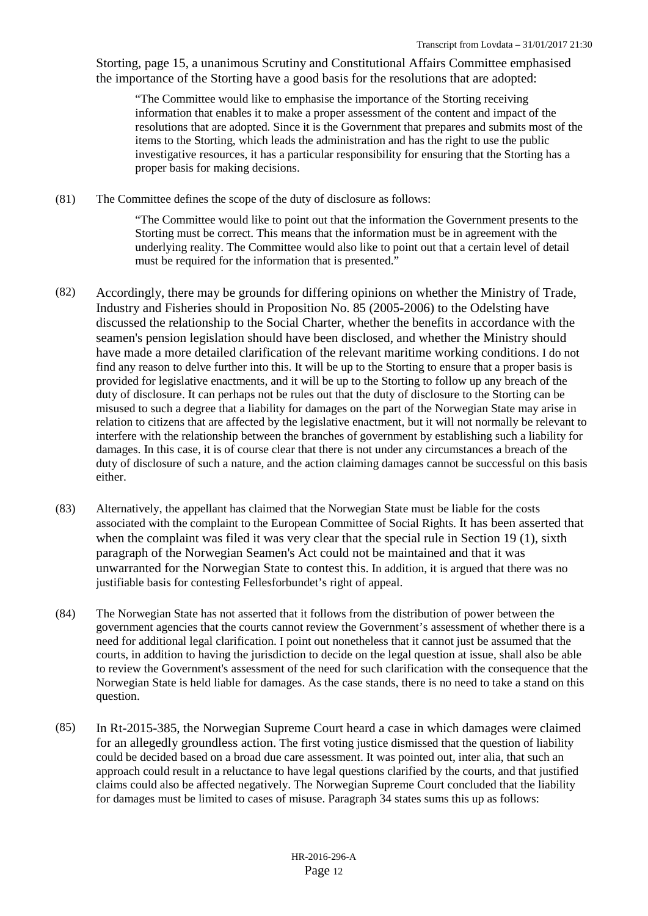Storting, page 15, a unanimous Scrutiny and Constitutional Affairs Committee emphasised the importance of the Storting have a good basis for the resolutions that are adopted:

"The Committee would like to emphasise the importance of the Storting receiving information that enables it to make a proper assessment of the content and impact of the resolutions that are adopted. Since it is the Government that prepares and submits most of the items to the Storting, which leads the administration and has the right to use the public investigative resources, it has a particular responsibility for ensuring that the Storting has a proper basis for making decisions.

(81) The Committee defines the scope of the duty of disclosure as follows:

"The Committee would like to point out that the information the Government presents to the Storting must be correct. This means that the information must be in agreement with the underlying reality. The Committee would also like to point out that a certain level of detail must be required for the information that is presented."

- (82) Accordingly, there may be grounds for differing opinions on whether the Ministry of Trade, Industry and Fisheries should in Proposition No. 85 (2005-2006) to the Odelsting have discussed the relationship to the Social Charter, whether the benefits in accordance with the seamen's pension legislation should have been disclosed, and whether the Ministry should have made a more detailed clarification of the relevant maritime working conditions. I do not find any reason to delve further into this. It will be up to the Storting to ensure that a proper basis is provided for legislative enactments, and it will be up to the Storting to follow up any breach of the duty of disclosure. It can perhaps not be rules out that the duty of disclosure to the Storting can be misused to such a degree that a liability for damages on the part of the Norwegian State may arise in relation to citizens that are affected by the legislative enactment, but it will not normally be relevant to interfere with the relationship between the branches of government by establishing such a liability for damages. In this case, it is of course clear that there is not under any circumstances a breach of the duty of disclosure of such a nature, and the action claiming damages cannot be successful on this basis either.
- (83) Alternatively, the appellant has claimed that the Norwegian State must be liable for the costs associated with the complaint to the European Committee of Social Rights. It has been asserted that when the complaint was filed it was very clear that the special rule in Section 19 (1), sixth paragraph of the Norwegian Seamen's Act could not be maintained and that it was unwarranted for the Norwegian State to contest this. In addition, it is argued that there was no justifiable basis for contesting Fellesforbundet's right of appeal.
- (84) The Norwegian State has not asserted that it follows from the distribution of power between the government agencies that the courts cannot review the Government's assessment of whether there is a need for additional legal clarification. I point out nonetheless that it cannot just be assumed that the courts, in addition to having the jurisdiction to decide on the legal question at issue, shall also be able to review the Government's assessment of the need for such clarification with the consequence that the Norwegian State is held liable for damages. As the case stands, there is no need to take a stand on this question.
- (85) In Rt-2015-385, the Norwegian Supreme Court heard a case in which damages were claimed for an allegedly groundless action. The first voting justice dismissed that the question of liability could be decided based on a broad due care assessment. It was pointed out, inter alia, that such an approach could result in a reluctance to have legal questions clarified by the courts, and that justified claims could also be affected negatively. The Norwegian Supreme Court concluded that the liability for damages must be limited to cases of misuse. Paragraph 34 states sums this up as follows: